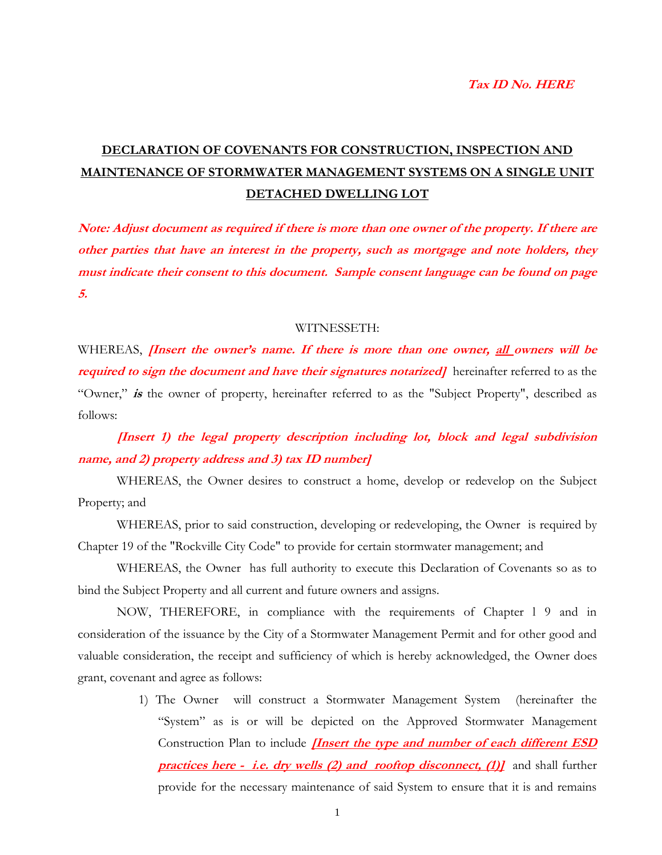#### **Tax ID No. HERE**

# **DECLARATION OF COVENANTS FOR CONSTRUCTION, INSPECTION AND MAINTENANCE OF STORMWATER MANAGEMENT SYSTEMS ON A SINGLE UNIT DETACHED DWELLING LOT**

**Note: Adjust document as required if there is more than one owner of the property. If there are other parties that have an interest in the property, such as mortgage and note holders, they must indicate their consent to this document. Sample consent language can be found on page 5.**

#### WITNESSETH:

WHEREAS, **[Insert the owner's name. If there is more than one owner, all owners will be**  *required to sign the document and have their signatures notarized]* **hereinafter referred to as the** "Owner," **is** the owner of property, hereinafter referred to as the "Subject Property", described as follows:

**[Insert 1) the legal property description including lot, block and legal subdivision name, and 2) property address and 3) tax ID number]**

WHEREAS, the Owner desires to construct a home, develop or redevelop on the Subject Property; and

WHEREAS, prior to said construction, developing or redeveloping, the Owner is required by Chapter 19 of the "Rockville City Code" to provide for certain stormwater management; and

WHEREAS, the Owner has full authority to execute this Declaration of Covenants so as to bind the Subject Property and all current and future owners and assigns.

NOW, THEREFORE, in compliance with the requirements of Chapter l 9 and in consideration of the issuance by the City of a Stormwater Management Permit and for other good and valuable consideration, the receipt and sufficiency of which is hereby acknowledged, the Owner does grant, covenant and agree as follows:

> 1) The Owner will construct a Stormwater Management System (hereinafter the "System" as is or will be depicted on the Approved Stormwater Management Construction Plan to include **[Insert the type and number of each different ESD practices here - i.e. dry wells (2) and rooftop disconnect, (1)]** and shall further provide for the necessary maintenance of said System to ensure that it is and remains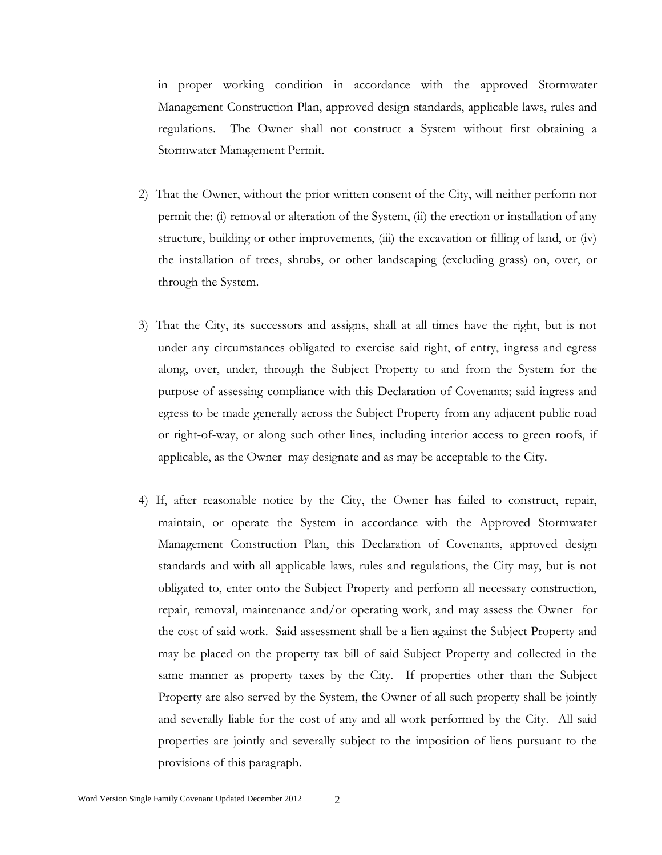in proper working condition in accordance with the approved Stormwater Management Construction Plan, approved design standards, applicable laws, rules and regulations. The Owner shall not construct a System without first obtaining a Stormwater Management Permit.

- 2) That the Owner, without the prior written consent of the City, will neither perform nor permit the: (i) removal or alteration of the System, (ii) the erection or installation of any structure, building or other improvements, (iii) the excavation or filling of land, or (iv) the installation of trees, shrubs, or other landscaping (excluding grass) on, over, or through the System.
- 3) That the City, its successors and assigns, shall at all times have the right, but is not under any circumstances obligated to exercise said right, of entry, ingress and egress along, over, under, through the Subject Property to and from the System for the purpose of assessing compliance with this Declaration of Covenants; said ingress and egress to be made generally across the Subject Property from any adjacent public road or right-of-way, or along such other lines, including interior access to green roofs, if applicable, as the Owner may designate and as may be acceptable to the City.
- 4) If, after reasonable notice by the City, the Owner has failed to construct, repair, maintain, or operate the System in accordance with the Approved Stormwater Management Construction Plan, this Declaration of Covenants, approved design standards and with all applicable laws, rules and regulations, the City may, but is not obligated to, enter onto the Subject Property and perform all necessary construction, repair, removal, maintenance and/or operating work, and may assess the Owner for the cost of said work. Said assessment shall be a lien against the Subject Property and may be placed on the property tax bill of said Subject Property and collected in the same manner as property taxes by the City. If properties other than the Subject Property are also served by the System, the Owner of all such property shall be jointly and severally liable for the cost of any and all work performed by the City. All said properties are jointly and severally subject to the imposition of liens pursuant to the provisions of this paragraph.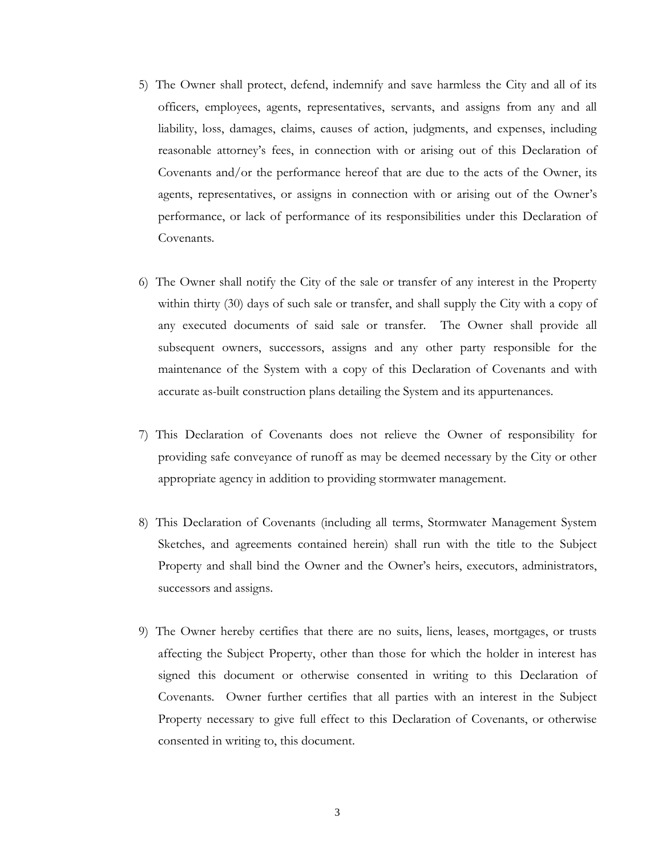- 5) The Owner shall protect, defend, indemnify and save harmless the City and all of its officers, employees, agents, representatives, servants, and assigns from any and all liability, loss, damages, claims, causes of action, judgments, and expenses, including reasonable attorney's fees, in connection with or arising out of this Declaration of Covenants and/or the performance hereof that are due to the acts of the Owner, its agents, representatives, or assigns in connection with or arising out of the Owner's performance, or lack of performance of its responsibilities under this Declaration of Covenants.
- 6) The Owner shall notify the City of the sale or transfer of any interest in the Property within thirty (30) days of such sale or transfer, and shall supply the City with a copy of any executed documents of said sale or transfer. The Owner shall provide all subsequent owners, successors, assigns and any other party responsible for the maintenance of the System with a copy of this Declaration of Covenants and with accurate as-built construction plans detailing the System and its appurtenances.
- 7) This Declaration of Covenants does not relieve the Owner of responsibility for providing safe conveyance of runoff as may be deemed necessary by the City or other appropriate agency in addition to providing stormwater management.
- 8) This Declaration of Covenants (including all terms, Stormwater Management System Sketches, and agreements contained herein) shall run with the title to the Subject Property and shall bind the Owner and the Owner's heirs, executors, administrators, successors and assigns.
- 9) The Owner hereby certifies that there are no suits, liens, leases, mortgages, or trusts affecting the Subject Property, other than those for which the holder in interest has signed this document or otherwise consented in writing to this Declaration of Covenants. Owner further certifies that all parties with an interest in the Subject Property necessary to give full effect to this Declaration of Covenants, or otherwise consented in writing to, this document.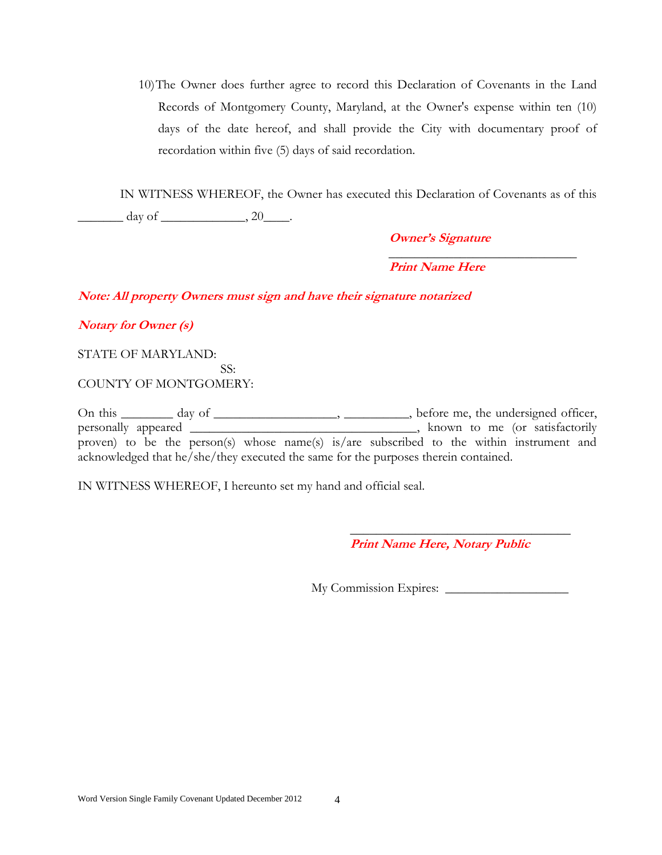10)The Owner does further agree to record this Declaration of Covenants in the Land Records of Montgomery County, Maryland, at the Owner's expense within ten (10) days of the date hereof, and shall provide the City with documentary proof of recordation within five (5) days of said recordation.

IN WITNESS WHEREOF, the Owner has executed this Declaration of Covenants as of this \_\_\_\_\_\_\_ day of \_\_\_\_\_\_\_\_\_\_\_\_\_, 20\_\_\_\_.

**Owner's Signature**

**Print Name Here**

**Note: All property Owners must sign and have their signature notarized**

## **Notary for Owner (s)**

STATE OF MARYLAND:

COUNTY OF MONTGOMERY:

On this \_\_\_\_\_\_\_ day of \_\_\_\_\_\_\_\_\_\_\_\_\_\_\_\_, \_\_\_\_\_\_\_\_, before me, the undersigned officer, personally appeared \_\_\_\_\_\_\_\_\_\_\_\_\_\_\_\_\_\_\_\_\_\_\_\_\_\_\_\_\_\_\_\_, known to me (or satisfactorily proven) to be the person(s) whose name(s) is/are subscribed to the within instrument and acknowledged that he/she/they executed the same for the purposes therein contained.

IN WITNESS WHEREOF, I hereunto set my hand and official seal.

SS:

 **Print Name Here, Notary Public**

\_\_\_\_\_\_\_\_\_\_\_\_\_\_\_\_\_\_\_\_\_\_\_\_\_\_\_\_\_\_\_\_\_\_

My Commission Expires: \_\_\_\_\_\_\_\_\_\_\_\_\_\_\_\_\_\_\_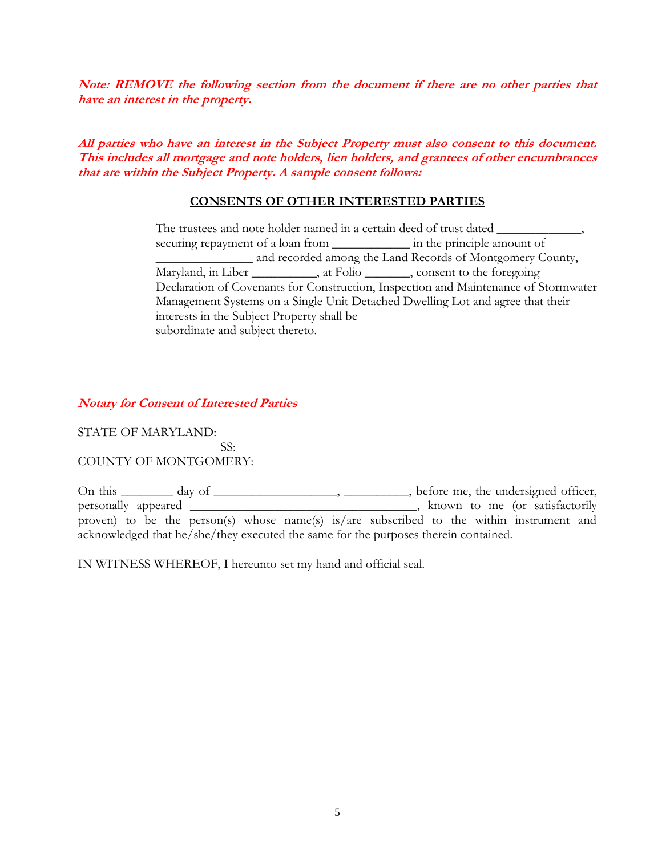**Note: REMOVE the following section from the document if there are no other parties that have an interest in the property.**

**All parties who have an interest in the Subject Property must also consent to this document. This includes all mortgage and note holders, lien holders, and grantees of other encumbrances that are within the Subject Property. A sample consent follows:**

### **CONSENTS OF OTHER INTERESTED PARTIES**

The trustees and note holder named in a certain deed of trust dated \_\_\_\_\_\_\_\_\_\_\_\_ securing repayment of a loan from \_\_\_\_\_\_\_\_\_\_\_\_\_\_\_ in the principle amount of \_\_\_\_\_\_\_\_\_\_\_\_\_\_\_ and recorded among the Land Records of Montgomery County, Maryland, in Liber \_\_\_\_\_\_\_\_, at Folio \_\_\_\_\_\_, consent to the foregoing Declaration of Covenants for Construction, Inspection and Maintenance of Stormwater Management Systems on a Single Unit Detached Dwelling Lot and agree that their interests in the Subject Property shall be subordinate and subject thereto.

### **Notary for Consent of Interested Parties**

STATE OF MARYLAND: SS: COUNTY OF MONTGOMERY:

On this \_\_\_\_\_\_\_ day of \_\_\_\_\_\_\_\_\_\_\_\_\_\_\_\_, \_\_\_\_\_\_\_\_\_, before me, the undersigned officer, personally appeared \_\_\_\_\_\_\_\_\_\_\_\_\_\_\_\_\_\_\_\_\_\_\_\_\_\_\_\_\_\_\_\_\_\_\_, known to me (or satisfactorily proven) to be the person(s) whose name(s) is/are subscribed to the within instrument and acknowledged that he/she/they executed the same for the purposes therein contained.

IN WITNESS WHEREOF, I hereunto set my hand and official seal.